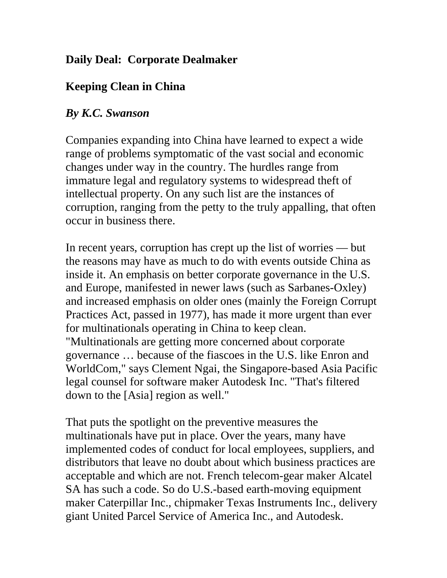## **Daily Deal: Corporate Dealmaker**

# **Keeping Clean in China**

## *By K.C. Swanson*

Companies expanding into China have learned to expect a wide range of problems symptomatic of the vast social and economic changes under way in the country. The hurdles range from immature legal and regulatory systems to widespread theft of intellectual property. On any such list are the instances of corruption, ranging from the petty to the truly appalling, that often occur in business there.

In recent years, corruption has crept up the list of worries — but the reasons may have as much to do with events outside China as inside it. An emphasis on better corporate governance in the U.S. and Europe, manifested in newer laws (such as Sarbanes-Oxley) and increased emphasis on older ones (mainly the Foreign Corrupt Practices Act, passed in 1977), has made it more urgent than ever for multinationals operating in China to keep clean. "Multinationals are getting more concerned about corporate governance … because of the fiascoes in the U.S. like Enron and WorldCom," says Clement Ngai, the Singapore-based Asia Pacific legal counsel for software maker Autodesk Inc. "That's filtered down to the [Asia] region as well."

That puts the spotlight on the preventive measures the multinationals have put in place. Over the years, many have implemented codes of conduct for local employees, suppliers, and distributors that leave no doubt about which business practices are acceptable and which are not. French telecom-gear maker Alcatel SA has such a code. So do U.S.-based earth-moving equipment maker Caterpillar Inc., chipmaker Texas Instruments Inc., delivery giant United Parcel Service of America Inc., and Autodesk.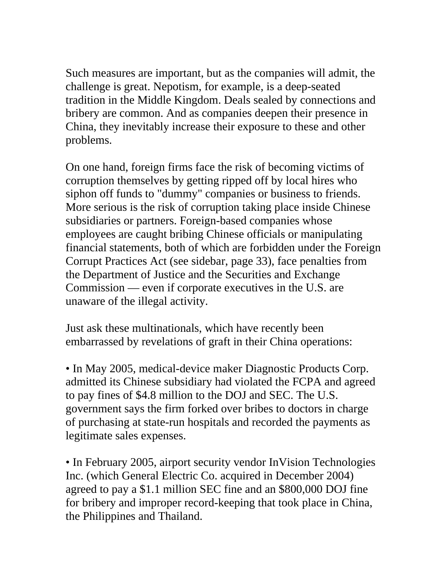Such measures are important, but as the companies will admit, the challenge is great. Nepotism, for example, is a deep-seated tradition in the Middle Kingdom. Deals sealed by connections and bribery are common. And as companies deepen their presence in China, they inevitably increase their exposure to these and other problems.

On one hand, foreign firms face the risk of becoming victims of corruption themselves by getting ripped off by local hires who siphon off funds to "dummy" companies or business to friends. More serious is the risk of corruption taking place inside Chinese subsidiaries or partners. Foreign-based companies whose employees are caught bribing Chinese officials or manipulating financial statements, both of which are forbidden under the Foreign Corrupt Practices Act (see sidebar, page 33), face penalties from the Department of Justice and the Securities and Exchange Commission — even if corporate executives in the U.S. are unaware of the illegal activity.

Just ask these multinationals, which have recently been embarrassed by revelations of graft in their China operations:

• In May 2005, medical-device maker Diagnostic Products Corp. admitted its Chinese subsidiary had violated the FCPA and agreed to pay fines of \$4.8 million to the DOJ and SEC. The U.S. government says the firm forked over bribes to doctors in charge of purchasing at state-run hospitals and recorded the payments as legitimate sales expenses.

• In February 2005, airport security vendor InVision Technologies Inc. (which General Electric Co. acquired in December 2004) agreed to pay a \$1.1 million SEC fine and an \$800,000 DOJ fine for bribery and improper record-keeping that took place in China, the Philippines and Thailand.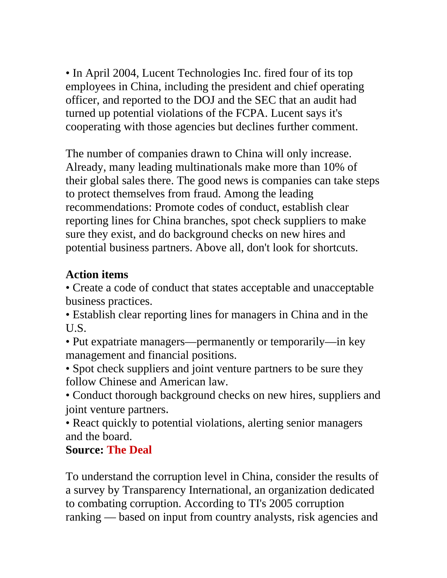• In April 2004, Lucent Technologies Inc. fired four of its top employees in China, including the president and chief operating officer, and reported to the DOJ and the SEC that an audit had turned up potential violations of the FCPA. Lucent says it's cooperating with those agencies but declines further comment.

The number of companies drawn to China will only increase. Already, many leading multinationals make more than 10% of their global sales there. The good news is companies can take steps to protect themselves from fraud. Among the leading recommendations: Promote codes of conduct, establish clear reporting lines for China branches, spot check suppliers to make sure they exist, and do background checks on new hires and potential business partners. Above all, don't look for shortcuts.

### **Action items**

• Create a code of conduct that states acceptable and unacceptable business practices.

• Establish clear reporting lines for managers in China and in the U.S.

• Put expatriate managers—permanently or temporarily—in key management and financial positions.

• Spot check suppliers and joint venture partners to be sure they follow Chinese and American law.

• Conduct thorough background checks on new hires, suppliers and joint venture partners.

• React quickly to potential violations, alerting senior managers and the board.

#### **Source: The Deal**

To understand the corruption level in China, consider the results of a survey by Transparency International, an organization dedicated to combating corruption. According to TI's 2005 corruption ranking — based on input from country analysts, risk agencies and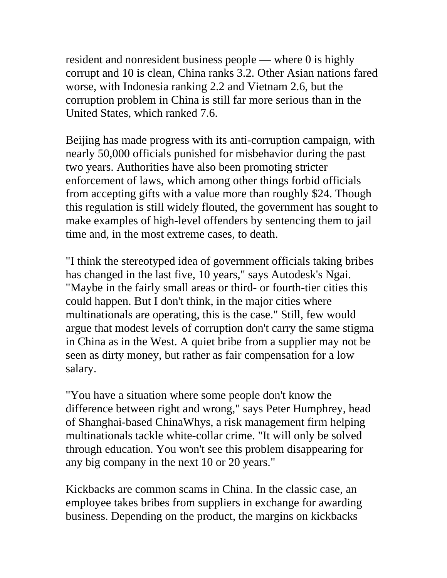resident and nonresident business people — where 0 is highly corrupt and 10 is clean, China ranks 3.2. Other Asian nations fared worse, with Indonesia ranking 2.2 and Vietnam 2.6, but the corruption problem in China is still far more serious than in the United States, which ranked 7.6.

Beijing has made progress with its anti-corruption campaign, with nearly 50,000 officials punished for misbehavior during the past two years. Authorities have also been promoting stricter enforcement of laws, which among other things forbid officials from accepting gifts with a value more than roughly \$24. Though this regulation is still widely flouted, the government has sought to make examples of high-level offenders by sentencing them to jail time and, in the most extreme cases, to death.

"I think the stereotyped idea of government officials taking bribes has changed in the last five, 10 years," says Autodesk's Ngai. "Maybe in the fairly small areas or third- or fourth-tier cities this could happen. But I don't think, in the major cities where multinationals are operating, this is the case." Still, few would argue that modest levels of corruption don't carry the same stigma in China as in the West. A quiet bribe from a supplier may not be seen as dirty money, but rather as fair compensation for a low salary.

"You have a situation where some people don't know the difference between right and wrong," says Peter Humphrey, head of Shanghai-based ChinaWhys, a risk management firm helping multinationals tackle white-collar crime. "It will only be solved through education. You won't see this problem disappearing for any big company in the next 10 or 20 years."

Kickbacks are common scams in China. In the classic case, an employee takes bribes from suppliers in exchange for awarding business. Depending on the product, the margins on kickbacks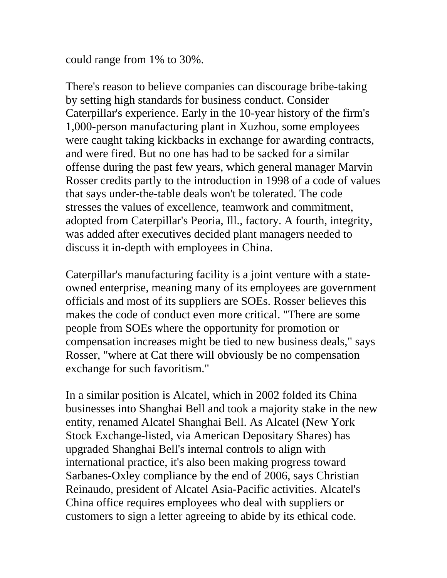could range from 1% to 30%.

There's reason to believe companies can discourage bribe-taking by setting high standards for business conduct. Consider Caterpillar's experience. Early in the 10-year history of the firm's 1,000-person manufacturing plant in Xuzhou, some employees were caught taking kickbacks in exchange for awarding contracts, and were fired. But no one has had to be sacked for a similar offense during the past few years, which general manager Marvin Rosser credits partly to the introduction in 1998 of a code of values that says under-the-table deals won't be tolerated. The code stresses the values of excellence, teamwork and commitment, adopted from Caterpillar's Peoria, Ill., factory. A fourth, integrity, was added after executives decided plant managers needed to discuss it in-depth with employees in China.

Caterpillar's manufacturing facility is a joint venture with a stateowned enterprise, meaning many of its employees are government officials and most of its suppliers are SOEs. Rosser believes this makes the code of conduct even more critical. "There are some people from SOEs where the opportunity for promotion or compensation increases might be tied to new business deals," says Rosser, "where at Cat there will obviously be no compensation exchange for such favoritism."

In a similar position is Alcatel, which in 2002 folded its China businesses into Shanghai Bell and took a majority stake in the new entity, renamed Alcatel Shanghai Bell. As Alcatel (New York Stock Exchange-listed, via American Depositary Shares) has upgraded Shanghai Bell's internal controls to align with international practice, it's also been making progress toward Sarbanes-Oxley compliance by the end of 2006, says Christian Reinaudo, president of Alcatel Asia-Pacific activities. Alcatel's China office requires employees who deal with suppliers or customers to sign a letter agreeing to abide by its ethical code.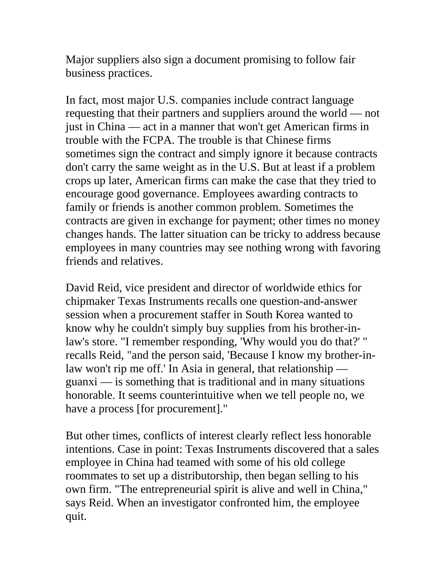Major suppliers also sign a document promising to follow fair business practices.

In fact, most major U.S. companies include contract language requesting that their partners and suppliers around the world — not just in China — act in a manner that won't get American firms in trouble with the FCPA. The trouble is that Chinese firms sometimes sign the contract and simply ignore it because contracts don't carry the same weight as in the U.S. But at least if a problem crops up later, American firms can make the case that they tried to encourage good governance. Employees awarding contracts to family or friends is another common problem. Sometimes the contracts are given in exchange for payment; other times no money changes hands. The latter situation can be tricky to address because employees in many countries may see nothing wrong with favoring friends and relatives.

David Reid, vice president and director of worldwide ethics for chipmaker Texas Instruments recalls one question-and-answer session when a procurement staffer in South Korea wanted to know why he couldn't simply buy supplies from his brother-inlaw's store. "I remember responding, 'Why would you do that?' " recalls Reid, "and the person said, 'Because I know my brother-inlaw won't rip me off.' In Asia in general, that relationship guanxi — is something that is traditional and in many situations honorable. It seems counterintuitive when we tell people no, we have a process [for procurement]."

But other times, conflicts of interest clearly reflect less honorable intentions. Case in point: Texas Instruments discovered that a sales employee in China had teamed with some of his old college roommates to set up a distributorship, then began selling to his own firm. "The entrepreneurial spirit is alive and well in China," says Reid. When an investigator confronted him, the employee quit.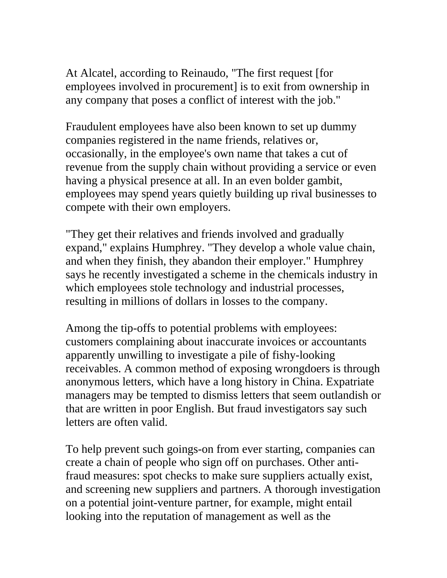At Alcatel, according to Reinaudo, "The first request [for employees involved in procurement] is to exit from ownership in any company that poses a conflict of interest with the job."

Fraudulent employees have also been known to set up dummy companies registered in the name friends, relatives or, occasionally, in the employee's own name that takes a cut of revenue from the supply chain without providing a service or even having a physical presence at all. In an even bolder gambit, employees may spend years quietly building up rival businesses to compete with their own employers.

"They get their relatives and friends involved and gradually expand," explains Humphrey. "They develop a whole value chain, and when they finish, they abandon their employer." Humphrey says he recently investigated a scheme in the chemicals industry in which employees stole technology and industrial processes, resulting in millions of dollars in losses to the company.

Among the tip-offs to potential problems with employees: customers complaining about inaccurate invoices or accountants apparently unwilling to investigate a pile of fishy-looking receivables. A common method of exposing wrongdoers is through anonymous letters, which have a long history in China. Expatriate managers may be tempted to dismiss letters that seem outlandish or that are written in poor English. But fraud investigators say such letters are often valid.

To help prevent such goings-on from ever starting, companies can create a chain of people who sign off on purchases. Other antifraud measures: spot checks to make sure suppliers actually exist, and screening new suppliers and partners. A thorough investigation on a potential joint-venture partner, for example, might entail looking into the reputation of management as well as the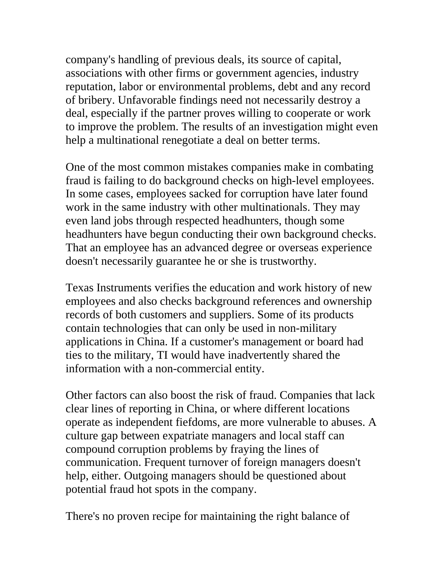company's handling of previous deals, its source of capital, associations with other firms or government agencies, industry reputation, labor or environmental problems, debt and any record of bribery. Unfavorable findings need not necessarily destroy a deal, especially if the partner proves willing to cooperate or work to improve the problem. The results of an investigation might even help a multinational renegotiate a deal on better terms.

One of the most common mistakes companies make in combating fraud is failing to do background checks on high-level employees. In some cases, employees sacked for corruption have later found work in the same industry with other multinationals. They may even land jobs through respected headhunters, though some headhunters have begun conducting their own background checks. That an employee has an advanced degree or overseas experience doesn't necessarily guarantee he or she is trustworthy.

Texas Instruments verifies the education and work history of new employees and also checks background references and ownership records of both customers and suppliers. Some of its products contain technologies that can only be used in non-military applications in China. If a customer's management or board had ties to the military, TI would have inadvertently shared the information with a non-commercial entity.

Other factors can also boost the risk of fraud. Companies that lack clear lines of reporting in China, or where different locations operate as independent fiefdoms, are more vulnerable to abuses. A culture gap between expatriate managers and local staff can compound corruption problems by fraying the lines of communication. Frequent turnover of foreign managers doesn't help, either. Outgoing managers should be questioned about potential fraud hot spots in the company.

There's no proven recipe for maintaining the right balance of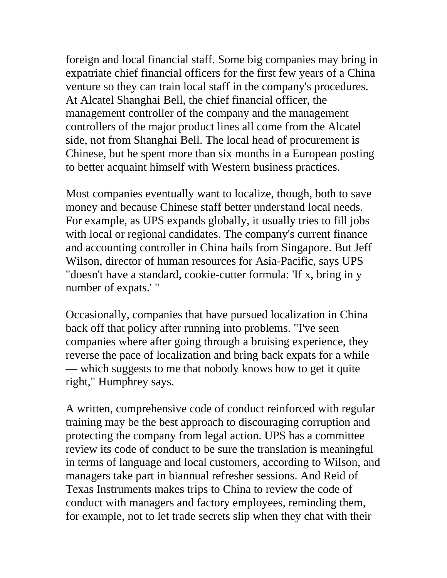foreign and local financial staff. Some big companies may bring in expatriate chief financial officers for the first few years of a China venture so they can train local staff in the company's procedures. At Alcatel Shanghai Bell, the chief financial officer, the management controller of the company and the management controllers of the major product lines all come from the Alcatel side, not from Shanghai Bell. The local head of procurement is Chinese, but he spent more than six months in a European posting to better acquaint himself with Western business practices.

Most companies eventually want to localize, though, both to save money and because Chinese staff better understand local needs. For example, as UPS expands globally, it usually tries to fill jobs with local or regional candidates. The company's current finance and accounting controller in China hails from Singapore. But Jeff Wilson, director of human resources for Asia-Pacific, says UPS "doesn't have a standard, cookie-cutter formula: 'If x, bring in y number of expats.' "

Occasionally, companies that have pursued localization in China back off that policy after running into problems. "I've seen companies where after going through a bruising experience, they reverse the pace of localization and bring back expats for a while — which suggests to me that nobody knows how to get it quite right," Humphrey says.

A written, comprehensive code of conduct reinforced with regular training may be the best approach to discouraging corruption and protecting the company from legal action. UPS has a committee review its code of conduct to be sure the translation is meaningful in terms of language and local customers, according to Wilson, and managers take part in biannual refresher sessions. And Reid of Texas Instruments makes trips to China to review the code of conduct with managers and factory employees, reminding them, for example, not to let trade secrets slip when they chat with their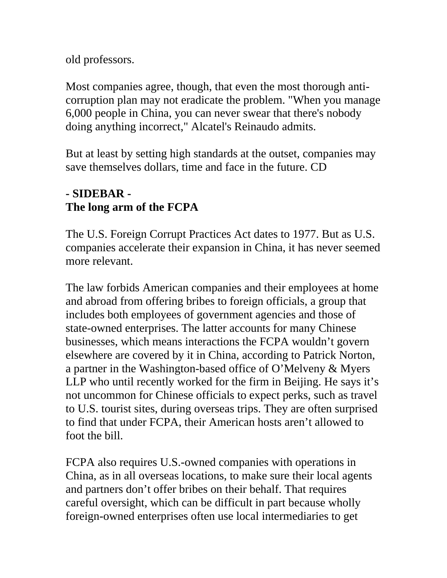old professors.

Most companies agree, though, that even the most thorough anticorruption plan may not eradicate the problem. "When you manage 6,000 people in China, you can never swear that there's nobody doing anything incorrect," Alcatel's Reinaudo admits.

But at least by setting high standards at the outset, companies may save themselves dollars, time and face in the future. CD

# **- SIDEBAR - The long arm of the FCPA**

The U.S. Foreign Corrupt Practices Act dates to 1977. But as U.S. companies accelerate their expansion in China, it has never seemed more relevant.

The law forbids American companies and their employees at home and abroad from offering bribes to foreign officials, a group that includes both employees of government agencies and those of state-owned enterprises. The latter accounts for many Chinese businesses, which means interactions the FCPA wouldn't govern elsewhere are covered by it in China, according to Patrick Norton, a partner in the Washington-based office of O'Melveny & Myers LLP who until recently worked for the firm in Beijing. He says it's not uncommon for Chinese officials to expect perks, such as travel to U.S. tourist sites, during overseas trips. They are often surprised to find that under FCPA, their American hosts aren't allowed to foot the bill.

FCPA also requires U.S.-owned companies with operations in China, as in all overseas locations, to make sure their local agents and partners don't offer bribes on their behalf. That requires careful oversight, which can be difficult in part because wholly foreign-owned enterprises often use local intermediaries to get